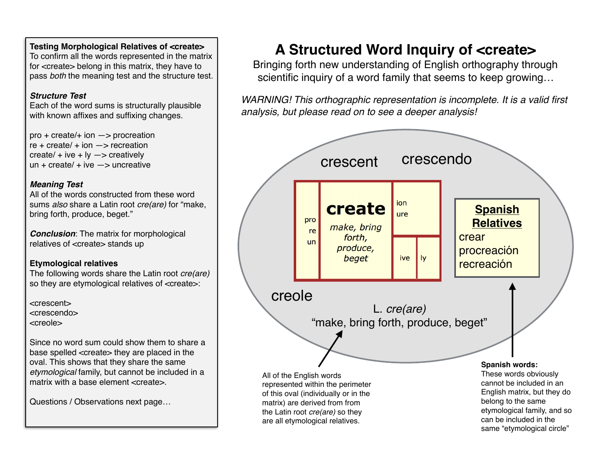**Testing Morphological Relatives of <create>** To confirm all the words represented in the matrix

for <create> belong in this matrix, they have to pass *both* the meaning test and the structure test.

# *Structure Test*

Each of the word sums is structurally plausible with known affixes and suffixing changes.

pro + create/+ ion —> procreation  $re + create/ + ion \rightarrow reaction$ create/  $+$  ive  $+$  ly  $-$  creatively un + create/ + ive  $\rightarrow$  uncreative

# *Meaning Test*

All of the words constructed from these word sums *also* share a Latin root *cre(are)* for "make, bring forth, produce, beget."

*Conclusion*: The matrix for morphological relatives of <create> stands up

# **Etymological relatives**

The following words share the Latin root *cre(are)* so they are etymological relatives of <create>:

<crescent> <crescendo> <creole>

Since no word sum could show them to share a base spelled <create> they are placed in the oval. This shows that they share the same *etymological* family, but cannot be included in a matrix with a base element <create>.

Questions / Observations next page…

# **A Structured Word Inquiry of <create>**

Bringing forth new understanding of English orthography through scientific inquiry of a word family that seems to keep growing…

*WARNING! This orthographic representation is incomplete. It is a valid first analysis, but please read on to see a deeper analysis!*

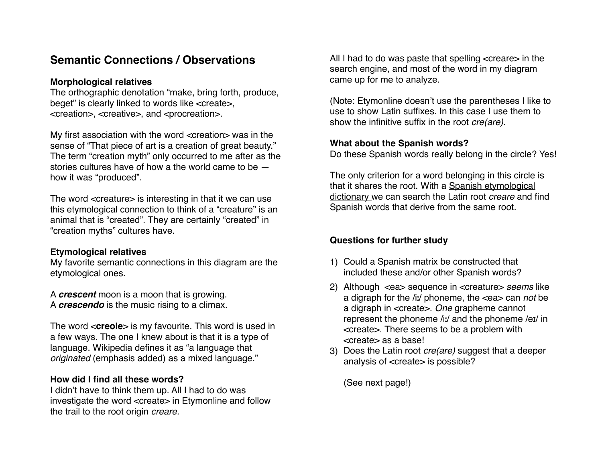# **Semantic Connections / Observations**

#### **Morphological relatives**

The orthographic denotation "make, bring forth, produce, beget" is clearly linked to words like <create>, <creation>, <creative>, and <procreation>.

My first association with the word <creation> was in the sense of "That piece of art is a creation of great beauty." The term "creation myth" only occurred to me after as the stories cultures have of how a the world came to be how it was "produced".

The word <creature> is interesting in that it we can use this etymological connection to think of a "creature" is an animal that is "created". They are certainly "created" in "creation myths" cultures have.

#### **Etymological relatives**

My favorite semantic connections in this diagram are the etymological ones.

A *crescent* moon is a moon that is growing. A *crescendo* is the music rising to a climax.

The word <**creole**> is my favourite. This word is used in a few ways. The one I knew about is that it is a type of language. Wikipedia defines it as "a language that *originated* (emphasis added) as a mixed language."

#### **How did I find all these words?**

I didn't have to think them up. All I had to do was investigate the word <create> in Etymonline and follow the trail to the root origin *creare.* 

All I had to do was paste that spelling <creare> in the search engine, and most of the word in my diagram came up for me to analyze.

(Note: Etymonline doesn't use the parentheses I like to use to show Latin suffixes. In this case I use them to show the infinitive suffix in the root *cre(are).* 

#### **What about the Spanish words?**

Do these Spanish words really belong in the circle? Yes!

The only criterion for a word belonging in this circle is [that it shares the root. With a Spanish etymological](http://etimologias.dechile.net)  dictionary we can search the Latin root *creare* and find Spanish words that derive from the same root.

# **Questions for further study**

- 1) Could a Spanish matrix be constructed that included these and/or other Spanish words?
- 2) Although <ea> sequence in <creature> *seems* like a digraph for the /iː/ phoneme, the <ea> can *not* be a digraph in <create>. *One* grapheme cannot represent the phoneme /iː/ and the phoneme /eɪ/ in <create>. There seems to be a problem with <create> as a base!
- 3) Does the Latin root *cre(are)* suggest that a deeper analysis of <create> is possible?

(See next page!)